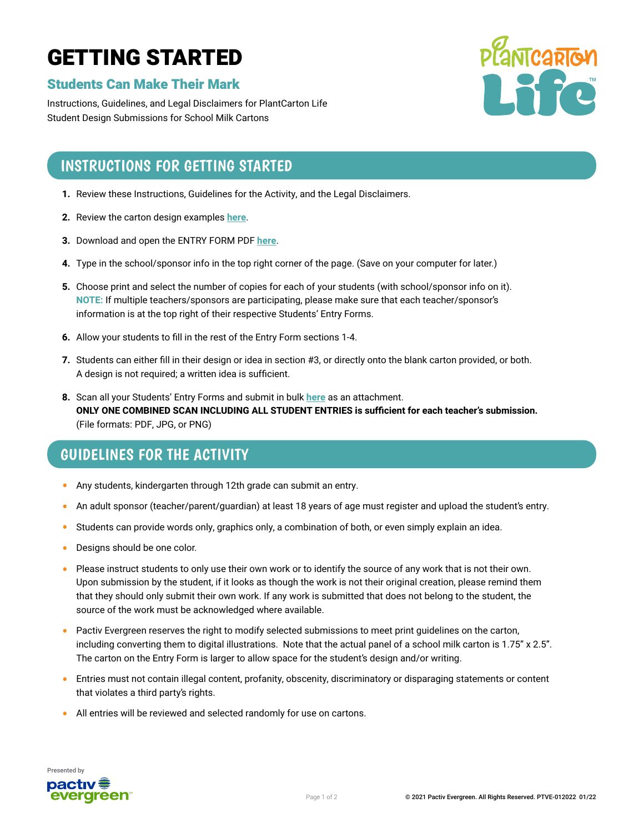# GETTING STARTED

### Students Can Make Their Mark

Instructions, Guidelines, and Legal Disclaimers for PlantCarton Life Student Design Submissions for School Milk Cartons



## INSTRUCTIONS FOR GETTING STARTED

- **1.** Review these Instructions, Guidelines for the Activity, and the Legal Disclaimers.
- **2.** Review the carton design examples **[here](https://plantcartonlife.com/student-carton-designs/#cartondesigns)**.
- **3.** Download and open the ENTRY FORM PDF **[here](https://plantcartonlife.tempurl.host/wp-content/uploads/2022/05/PTVE-292021-PC-Life-Make-Mark-Entry-Form-FF.pdf)**.
- **4.** Type in the school/sponsor info in the top right corner of the page. (Save on your computer for later.)
- **5.** Choose print and select the number of copies for each of your students (with school/sponsor info on it). **NOTE:** If multiple teachers/sponsors are participating, please make sure that each teacher/sponsor's information is at the top right of their respective Students' Entry Forms.
- **6.** Allow your students to fill in the rest of the Entry Form sections 1-4.
- **7.** Students can either fill in their design or idea in section #3, or directly onto the blank carton provided, or both. A design is not required; a written idea is sufficient.
- **8.** Scan all your Students' Entry Forms and submit in bulk **[here](https://plantcartonlife.com/upload-student-entries/)** as an attachment. **ONLY ONE COMBINED SCAN INCLUDING ALL STUDENT ENTRIES is sufficient for each teacher's submission.** (File formats: PDF, JPG, or PNG)

# GUIDELINES FOR THE ACTIVITY

- Any students, kindergarten through 12th grade can submit an entry.
- An adult sponsor (teacher/parent/guardian) at least 18 years of age must register and upload the student's entry.
- Students can provide words only, graphics only, a combination of both, or even simply explain an idea.
- Designs should be one color.
- Please instruct students to only use their own work or to identify the source of any work that is not their own. Upon submission by the student, if it looks as though the work is not their original creation, please remind them that they should only submit their own work. If any work is submitted that does not belong to the student, the source of the work must be acknowledged where available.
- Pactiv Evergreen reserves the right to modify selected submissions to meet print guidelines on the carton, including converting them to digital illustrations. Note that the actual panel of a school milk carton is 1.75" x 2.5". The carton on the Entry Form is larger to allow space for the student's design and/or writing.
- Entries must not contain illegal content, profanity, obscenity, discriminatory or disparaging statements or content that violates a third party's rights.
- All entries will be reviewed and selected randomly for use on cartons.